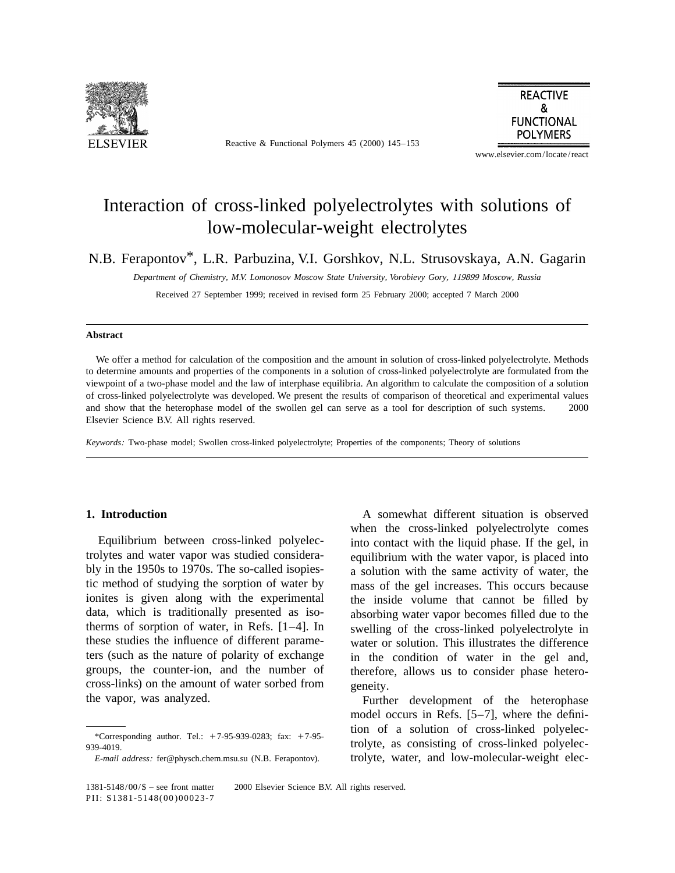

Reactive & Functional Polymers 45 (2000) 145–153

**REACTIVE** & **FUNCTIONAL POLYMERS** 

www.elsevier.com/locate/react

## Interaction of cross-linked polyelectrolytes with solutions of low-molecular-weight electrolytes

N.B. Ferapontov\*, L.R. Parbuzina, V.I. Gorshkov, N.L. Strusovskaya, A.N. Gagarin

*Department of Chemistry*, *M*.*V*. *Lomonosov Moscow State University*, *Vorobievy Gory*, <sup>119899</sup> *Moscow*, *Russia*

Received 27 September 1999; received in revised form 25 February 2000; accepted 7 March 2000

## **Abstract**

We offer a method for calculation of the composition and the amount in solution of cross-linked polyelectrolyte. Methods to determine amounts and properties of the components in a solution of cross-linked polyelectrolyte are formulated from the viewpoint of a two-phase model and the law of interphase equilibria. An algorithm to calculate the composition of a solution of cross-linked polyelectrolyte was developed. We present the results of comparison of theoretical and experimental values and show that the heterophase model of the swollen gel can serve as a tool for description of such systems.  $\oslash$  2000 Elsevier Science B.V. All rights reserved.

*Keywords*: Two-phase model; Swollen cross-linked polyelectrolyte; Properties of the components; Theory of solutions

Equilibrium between cross-linked polyelec-<br>triangleright into contact with the liquid phase. If the gel, in<br>trolytes and water vapor was studied considera-<br>equilibrium with the water vapor is placed into bly in the 1950s to 1970s. The so-called isopies-<br>tic method of studying the sorption of water by<br>mass of the gel increases. This occurs because tic method of studying the sorption of water by mass of the gel increases. This occurs because<br>ionites is given along with the experimental the inside volume that cannot be filled by data, which is traditionally presented as iso-<br>therms of sorption of water, in Refs.  $[1-4]$ . In swelling of the cross-linked polyelectrolyte in therms of sorption of water, in Refs.  $[1-4]$ . In swelling of the cross-linked polyelectrolyte in these studies the influence of different parame-<br>water or solution. This illustrates the difference these studies the influence of different parame-<br>term water or solution. This illustrates the difference<br>term (such as the nature of polarity of exchange<br>in the condition of water in the gel and. ters (such as the nature of polarity of exchange in the condition of water in the gel and, groups, the counter-ion, and the number of therefore allows us to consider phase heterocross-links) on the amount of water sorbed from geneity.

**1. Introduction 1. Introduction A** somewhat different situation is observed when the cross-linked polyelectrolyte comes equilibrium with the water vapor, is placed into the inside volume that cannot be filled by therefore, allows us to consider phase hetero-

Further development of the heterophase model occurs in Refs. [5–7], where the defini-\*Corresponding author. Tel.: +7-95-939-0283; fax: +7-95-<br>
939-4019.<br>
939-4019.<br>
939-4019. *E*-*mail address*: fer@physch.chem.msu.su (N.B. Ferapontov). trolyte, water, and low-molecular-weight elec-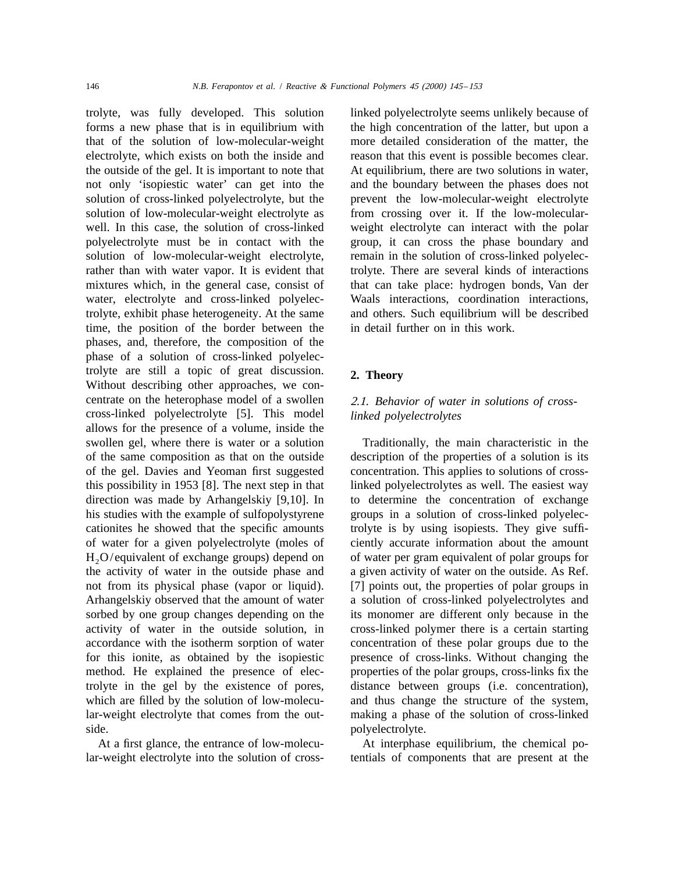forms a new phase that is in equilibrium with the high concentration of the latter, but upon a that of the solution of low-molecular-weight more detailed consideration of the matter, the electrolyte, which exists on both the inside and reason that this event is possible becomes clear. the outside of the gel. It is important to note that At equilibrium, there are two solutions in water, not only 'isopiestic water' can get into the and the boundary between the phases does not solution of cross-linked polyelectrolyte, but the prevent the low-molecular-weight electrolyte solution of low-molecular-weight electrolyte as from crossing over it. If the low-molecularwell. In this case, the solution of cross-linked weight electrolyte can interact with the polar polyelectrolyte must be in contact with the group, it can cross the phase boundary and solution of low-molecular-weight electrolyte, remain in the solution of cross-linked polyelecrather than with water vapor. It is evident that trolyte. There are several kinds of interactions mixtures which, in the general case, consist of that can take place: hydrogen bonds, Van der water, electrolyte and cross-linked polyelec-<br>Waals interactions, coordination interactions, trolyte, exhibit phase heterogeneity. At the same and others. Such equilibrium will be described time, the position of the border between the in detail further on in this work. phases, and, therefore, the composition of the phase of a solution of cross-linked polyelectrolyte are still a topic of great discussion. trolyte are still a topic of great discussion. **2. Theory** Without describing other approaches, we concentrate on the heterophase model of a swollen 2.1. *Behavior of water in solutions of cross*cross-linked polyelectrolyte [5]. This model *linked polyelectrolytes* allows for the presence of a volume, inside the swollen gel, where there is water or a solution Traditionally, the main characteristic in the of the same composition as that on the outside description of the properties of a solution is its of the gel. Davies and Yeoman first suggested concentration. This applies to solutions of crossthis possibility in 1953 [8]. The next step in that linked polyelectrolytes as well. The easiest way direction was made by Arhangelskiy [9,10]. In to determine the concentration of exchange his studies with the example of sulfopolystyrene groups in a solution of cross-linked polyeleccationites he showed that the specific amounts trolyte is by using isopiests. They give suffi-<br>of water for a given polyelectrolyte (moles of ciently accurate information about the amount  $H_2O$ /equivalent of exchange groups) depend on of water per gram equivalent of polar groups for the activity of water in the outside phase and a given activity of water on the outside. As Ref. the activity of water in the outside phase and not from its physical phase (vapor or liquid). Arhangelskiy observed that the amount of water a solution of cross-linked polyelectrolytes and sorbed by one group changes depending on the its monomer are different only because in the activity of water in the outside solution, in cross-linked polymer there is a certain starting accordance with the isotherm sorption of water concentration of these polar groups due to the for this ionite, as obtained by the isopiestic presence of cross-links. Without changing the method. He explained the presence of elec- properties of the polar groups, cross-links fix the trolyte in the gel by the existence of pores, distance between groups (i.e. concentration), which are filled by the solution of low-molecu- and thus change the structure of the system, lar-weight electrolyte that comes from the out- making a phase of the solution of cross-linked side. polyelectrolyte.

lar-weight electrolyte into the solution of cross- tentials of components that are present at the

trolyte, was fully developed. This solution linked polyelectrolyte seems unlikely because of reason that this event is possible becomes clear.

ciently accurate information about the amount  $[7]$  points out, the properties of polar groups in cross-linked polymer there is a certain starting

At a first glance, the entrance of low-molecu- At interphase equilibrium, the chemical po-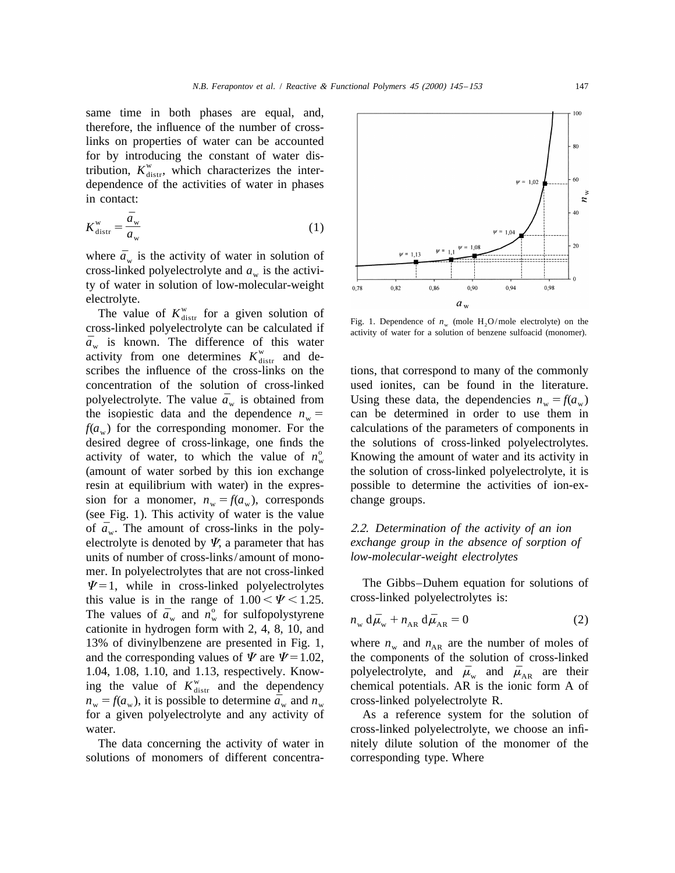same time in both phases are equal, and, therefore, the influence of the number of crosslinks on properties of water can be accounted for by introducing the constant of water distribution,  $K_{\text{distr}}^{\text{w}}$ , which characterizes the interdependence of the activities of water in phases in contact:

$$
K_{\text{distr}}^{\text{w}} = \frac{\bar{a}_{\text{w}}}{a_{\text{w}}} \tag{1}
$$

where  $\bar{a}_{w}$  is the activity of water in solution of cross-linked polyelectrolyte and  $a_w$  is the activity of water in solution of low-molecular-weight

electrolyte.<br>
The value of  $K_{\text{distr}}^w$  for a given solution of<br>
cross-linked polyelectrolyte can be calculated if<br>  $\bar{a}_w$  is known. The difference of this water<br>  $\bar{a}_w$  is known. The difference of this water *activity* from one determines  $K_{\text{distr}}^{\text{w}}$  and describes the influence of the cross-links on the concentration of the solution of cross-linked used ionites, can be found in the literature. polyelectrolyte. The value  $\bar{a}_{w}$  is obtained from Using these data, the dependencies  $n_{w} = f(a_{w})$ the isopiestic data and the dependence  $n_w =$  can be determined in order to use them in  $f(a_w)$  for the corresponding monomer. For the calculations of the parameters of components in desired degree of cross-linkage, one finds the solutions of cross-linked polyelectrolytes. activity of water, to which the value of  $n_w^{\circ}$  Knowing the amount of water and its activity in (amount of water sorbed by this ion exchange the solution of cross-linked polyelectrolyte, it is (amount of water sorbed by this ion exchange resin at equilibrium with water) in the expres- possible to determine the activities of ion-exsion for a monomer,  $n_w = f(a_w)$ , corresponds change groups. (see Fig. 1). This activity of water is the value of *a¯* . The amount of cross-links in the poly- 2.2. *Determination of the activity of an ion* <sup>w</sup> electrolyte is denoted by  $\Psi$ , a parameter that has *exchange group in the absence of sorption of* units of number of cross-links/amount of mono- *low*-*molecular*-*weight electrolytes* mer. In polyelectrolytes that are not cross-linked  $\Psi$  = 1, while in cross-linked polyelectrolytes The Gibbs–Duhem equation for solutions of this value is in the range of  $1.00 < \Psi < 1.25$ . cross-linked polyelectrolytes is:<br>The values of  $\bar{a}_{w}$  and  $n_{w}^{\circ}$  for sulfopolystyrene<br>cationite in hydrogen form with 2, 4, 8, 10, and<br> $n_{w} d\bar{\mu}_{w} + n_{AR} d\bar{\mu}_{AR} = 0$ 13% of divinylbenzene are presented in Fig. 1, where  $n_w$  and  $n_{AR}$  are the number of moles of 1.04, 1.08, 1.10, and 1.13, respectively. Know-<br>ing the value of  $K_{\text{distr}}^w$  and the dependency chemical potentials. AR is the ionic form A of  $n_w = f(a_w)$ , it is possible to determine  $\bar{a}_w$  and  $n_w$  cross-linked polyelectrolyte R. for a given polyelectrolyte and any activity of As a reference system for the solution of water. **cross-linked polyelectrolyte**, we choose an infi-

solutions of monomers of different concentra- corresponding type. Where



tions, that correspond to many of the commonly

$$
n_{\rm w} \, \mathrm{d}\bar{\mu}_{\rm w} + n_{\rm AR} \, \mathrm{d}\bar{\mu}_{\rm AR} = 0 \tag{2}
$$

and the corresponding values of  $\Psi$  are  $\Psi$  = 1.02, the components of the solution of cross-linked

The data concerning the activity of water in nitely dilute solution of the monomer of the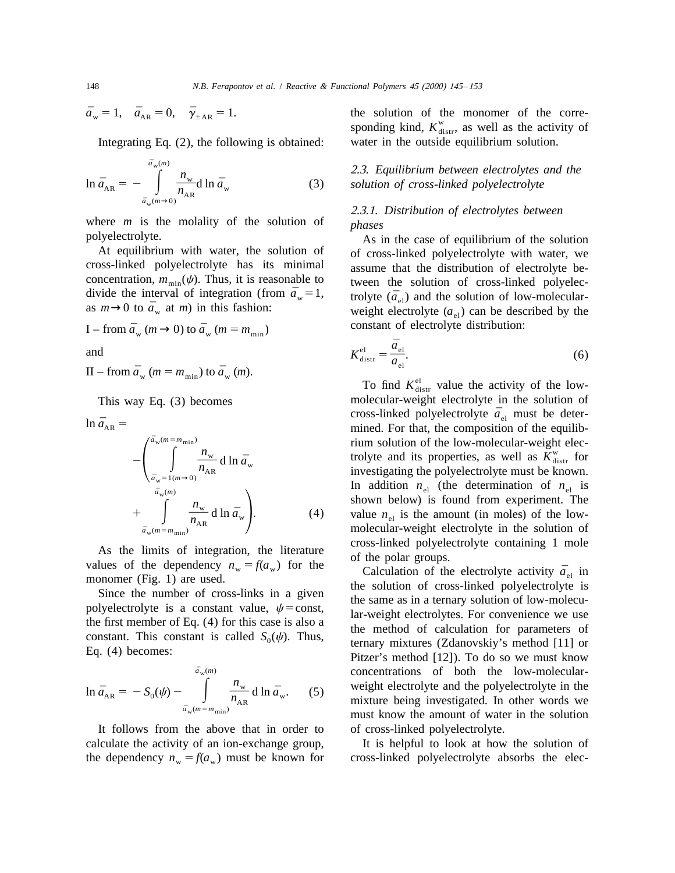$$
\ln \bar{a}_{AR} = - \int_{\bar{a}_{\text{w}}(m-0)}^{\bar{a}_{\text{w}}(m)} \frac{n_{\text{w}}}{n_{AR}} \text{d} \ln \bar{a}_{\text{w}}
$$
(3)

where *m* is the molality of the solution of *phases* polyelectrolyte.  $\overrightarrow{As}$  is

cross-linked polyelectrolyte has its minimal assume that the distribution of electrolyte beconcentration,  $m_{\text{min}}(\psi)$ . Thus, it is reasonable to tween the solution of cross-linked polyelectivide the interval of integration (from  $\bar{a}_{w} = 1$ , trolyte  $(\bar{a}_{w})$  and the solution of low-moleculardivide the interval of integration (from  $a_w = 1$ , trolyte  $(\bar{a}_{el})$  and the solution of low-molecular-<br>as  $m \rightarrow 0$  to  $\bar{a}_w$  at m) in this fashion:<br>weight electrolyte  $(a_0)$  can be described by the

I – from 
$$
\bar{a}_{\text{w}}(m \rightarrow 0)
$$
 to  $\bar{a}_{\text{w}}(m = m_{\text{min}})$ 

$$
-\left(\int_{\bar{a}_{\text{w}}(m=m_{\text{min}})}^{\bar{a}_{\text{w}}(m=m_{\text{min}})} \frac{n_{\text{w}}}{n_{\text{AR}}} \, \mathrm{d} \ln \bar{a}_{\text{w}}\n+ \int_{\bar{a}_{\text{w}}(m=m_{\text{min}})}^{\bar{a}_{\text{w}}(m)} \mathrm{d} \ln \bar{a}_{\text{w}}\right).
$$
\n(4)

$$
\ln \bar{a}_{AR} = -S_0(\psi) - \int_{\bar{a}_w(m) \bar{a}_{AR}}^{\bar{a}_w(m)} \frac{n_w}{n_{AR}} d\ln \bar{a}_w.
$$
 (5)

It follows from the above that in order to of cross-linked polyelectrolyte. calculate the activity of an ion-exchange group, It is helpful to look at how the solution of the dependency  $n_w = f(a_w)$  must be known for cross-linked polyelectrolyte absorbs the elec-

 $\bar{a}_{\text{w}} = 1$ ,  $\bar{a}_{\text{AR}} = 0$ ,  $\bar{\gamma}_{\pm \text{AR}} = 1$ . the solution of the monomer of the corre-<br>sponding kind,  $K_{\text{distr}}^{\text{w}}$ , as well as the activity of Integrating Eq. (2), the following is obtained: water in the outside equilibrium solution.

2.3. *Equilibrium between electrolytes and the solution of cross-linked polyelectrolyte* 

# 2.3.1. *Distribution of electrolytes between*

Iyelectrolyte.<br>At equilibrium with water, the solution of the solution of cross-linked polyelectrolyte with water we of cross-linked polyelectrolyte with water, we weight electrolyte  $(a_{el})$  can be described by the constant of electrolyte distribution:

and  
\n
$$
K_{\text{distr}}^{\text{el}} = \frac{\bar{a}_{\text{el}}}{a_{\text{el}}}.
$$
\n
$$
K_{\text{distr}}^{\text{el}} = \frac{\bar{a}_{\text{el}}}{a_{\text{el}}}.
$$
\n(6)  
\nTo find  $K_{\text{distr}}^{\text{el}}$  value the activity of the low-

This way Eq. (3) becomes molecular-weight electrolyte in the solution of  $\ln \bar{a}_{AR}$  = cross-linked polyelectrolyte  $\bar{a}_{el}$  must be deter-<br>mined. For that, the composition of the equilibrium solution of the low-molecular-weight elecfrolyte and its properties, as well as  $K_{\text{distr}}^{\text{w}}$  for investigating the polyelectrolyte must be known. In addition  $n_{el}$  (the determination of  $n_{el}$  is shown below) is found from experiment. The value  $n_{el}$  is the amount (in moles) of the low-<br>molecular-weight electrolyte in the solution of

As the limits of integration, the literature<br>values of the dependency  $n_w = f(a_w)$  for the<br>monomer (Fig. 1) are used.<br>Since the number of cross-links in a given<br>polyelectrolyte is a constant value,  $\psi$  = const,<br>the first me concentrations of both the low-molecularln  $\bar{a}_{AR} = -S_0(\psi) - \int_{\bar{a}_w(m) - \bar{a}_w(m) \pi_{AR}}^{\bar{a}_w(m)} d \ln \bar{a}_w$ . (5) concentrations of both the low-molecular-<br>weight electrolyte and the polyelectrolyte in the mixture being investigated. In other words we must know the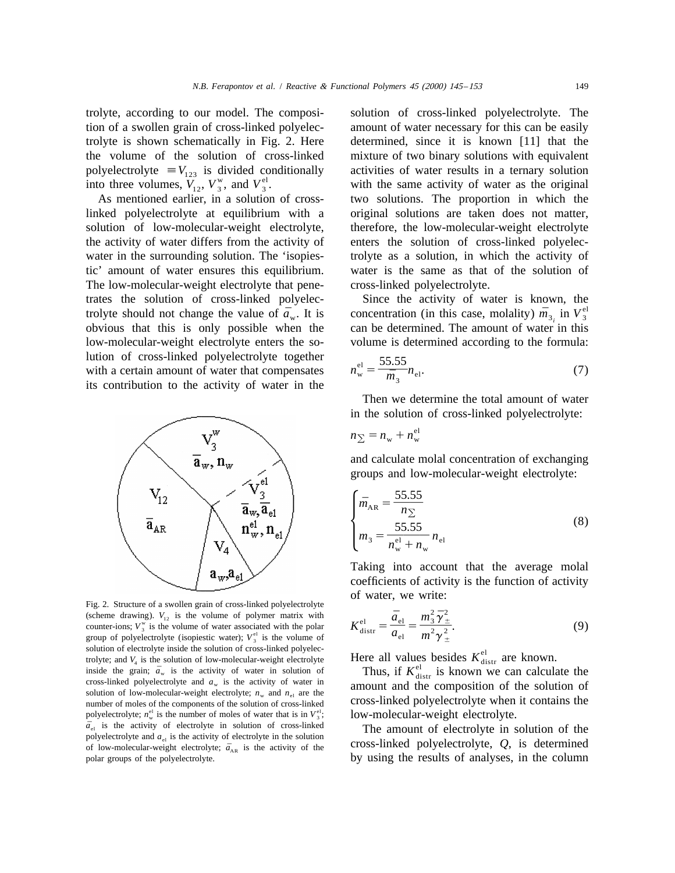linked polyelectrolyte at equilibrium with a original solutions are taken does not matter, solution of low-molecular-weight electrolyte, therefore, the low-molecular-weight electrolyte the activity of water differs from the activity of enters the solution of cross-linked polyelecwater in the surrounding solution. The 'isopies-<br>trolyte as a solution, in which the activity of tic' amount of water ensures this equilibrium. water is the same as that of the solution of The low-molecular-weight electrolyte that pene- cross-linked polyelectrolyte. trates the solution of cross-linked polyelec-<br>trolyte should not change the value of  $\bar{a}_w$ . It is concentration (in this case, molality)  $\bar{m}_{3}$  in  $V_3^{\text{el}}$ <br>obvious that this is only possible when the can be deter obvious that this is only possible when the low-molecular-weight electrolyte enters the so- volume is determined according to the formula: lution of cross-linked polyelectrolyte together with a certain amount of water that compensates *its* contribution to the activity of water in the



Fig. 2. Structure of a swollen grain of cross-linked polyelectrolyte<br>
(scheme drawing).  $V_{12}$  is the volume of polymer matrix with<br>
counter-ions;  $V_3^{\text{w}}$  is the volume of water associated with the polar<br>  $K_{\text{distr}}^{\$ counter-ions;  $V_3^{\text{w}}$  is the volume of water associated with the polar group of polyelectrolyte (isopiestic water);  $V_5^{\text{el}}$  is the volume of  $\Delta_{\text{distr}} = a_{\text{el}} - m^2 \gamma_{\pm}^2$ solution of electrolyte inside the solution of cross-linked polyelec-<br>trolyte; and  $V_4$  is the solution of low-molecular-weight electrolyte<br>inside the grain;  $\bar{a}_w$  is the activity of water in solution of<br>cross-linked polyelectrolyte;  $n_w^{el}$  is the number of moles of water that is in  $V_3^{el}$ ; low-molecular-weight electrolyte.<br>  $\bar{a}_{el}$  is the activity of electrolyte in solution of cross-linked The amount of electrolyte in s  $\bar{a}_{el}$  is the activity of electrolyte in solution of cross-linked The amount of electrolyte in solution of the polyelectrolyte and  $a_{el}$  is the activity of the cross-linked polyelectrolyte, *Q*, is determined of low-molecular-weight electrolyte;  $\bar{a}_{AR}$  is the activity of the polar groups of the polyelectrolyte.

trolyte, according to our model. The composi- solution of cross-linked polyelectrolyte. The tion of a swollen grain of cross-linked polyelec- amount of water necessary for this can be easily trolyte is shown schematically in Fig. 2. Here determined, since it is known [11] that the the volume of the solution of cross-linked mixture of two binary solutions with equivalent polyelectrolyte  $= V_{123}$  is divided conditionally activities of water results in a ternary solution into three volumes,  $V_{12}$ ,  $V_3^w$ , and  $V_3^e$ .<br>As mentioned earlier, in a solution of cross-<br>two solutions. The prop two solutions. The proportion in which the

$$
n_{\rm w}^{\rm el} = \frac{55.55}{\bar{m}_3} n_{\rm el}.\tag{7}
$$

Then we determine the total amount of water in the solution of cross-linked polyelectrolyte:

$$
n_{\sum} = n_{\rm w} + n_{\rm w}^{\rm el}
$$

and calculate molal concentration of exchanging groups and low-molecular-weight electrolyte:

$$
\begin{cases} \bar{m}_{AR} = \frac{55.55}{n_{\sum}}\\ m_3 = \frac{55.55}{n_{\rm w}^{\rm el} + n_{\rm w}} n_{\rm el} \end{cases} \tag{8}
$$

Taking into account that the average molal coefficients of activity is the function of activity of water, we write:

$$
K_{\text{distr}}^{\text{el}} = \frac{\bar{a}_{\text{el}}}{a_{\text{el}}} = \frac{m_3^2 \bar{\gamma}_{\pm}^2}{m^2 \gamma_{\pm}^2}.
$$
 (9)

number of moles of the components of the solution of cross-linked cross-linked polyelectrolyte when it contains the

by using the results of analyses, in the column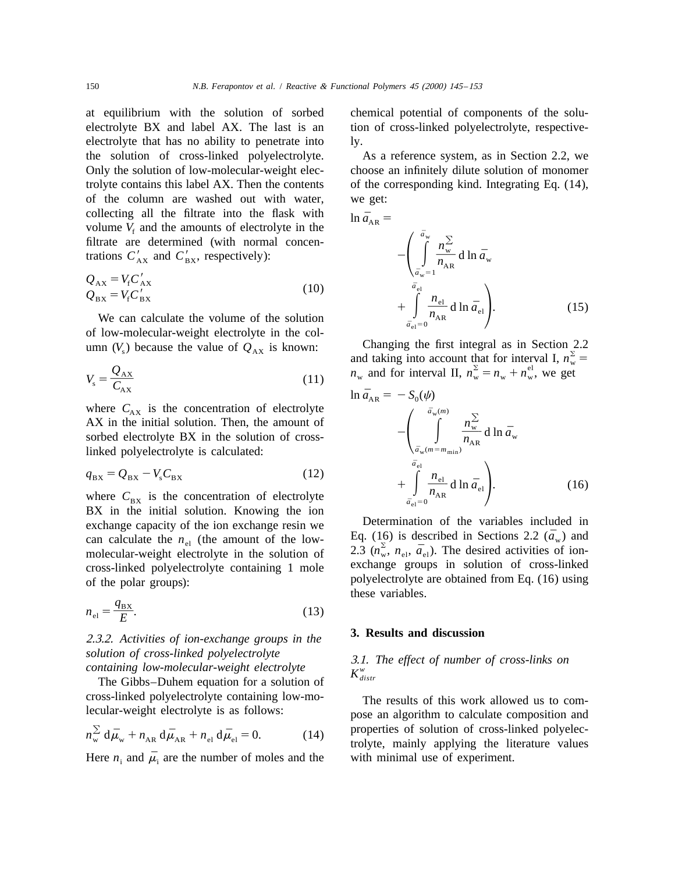at equilibrium with the solution of sorbed chemical potential of components of the soluelectrolyte BX and label AX. The last is an tion of cross-linked polyelectrolyte, respectiveelectrolyte that has no ability to penetrate into ly. the solution of cross-linked polyelectrolyte. As a reference system, as in Section 2.2, we Only the solution of low-molecular-weight elec- choose an infinitely dilute solution of monomer trolyte contains this label AX. Then the contents of the corresponding kind. Integrating Eq. (14), of the column are washed out with water, we get: collecting all the filtrate into the flask with volume  $V_f$  and the amounts of electrolyte in the filtrate are determined (with normal concentrations  $C'_{AX}$  and  $C'_{BX}$ , respectively):

$$
Q_{\text{AX}} = V_{\text{f}} C_{\text{AX}}'
$$
  
\n
$$
Q_{\text{BX}} = V_{\text{f}} C_{\text{BX}}'
$$
\n(10)

$$
V_{\rm s} = \frac{Q_{\rm AX}}{C_{\rm AX}}\tag{11}
$$

AX in the initial solution. Then, the amount of sorbed electrolyte BX in the solution of cross-<br>linked polyelectrolyte is calculated:

$$
q_{\text{BX}} = Q_{\text{BX}} - V_s C_{\text{BX}} \tag{12}
$$

 $q_{BX} = Q_{BX} - V_s C_{BX}$  (12)<br>
where  $C_{BX}$  is the concentration of electrolyte<br>
BX in the initial solution. Knowing the ion<br>
exchange capacity of the ion exchange resin we<br>
can calculate the  $n_{el}$  (the amount of the low-<br>
mol

$$
n_{\rm el} = \frac{q_{\rm BX}}{E}.\tag{13}
$$

**3. Results and discussion** 2.3.2. *Activities of ion*-*exchange groups in the*

cross-linked polyelectrolyte containing low-mo-<br>lectrolyte is as follows:<br>nose an algorithm to calculate composition and

$$
n_{\rm w}^{\sum} d\bar{\mu}_{\rm w} + n_{\rm AR} d\bar{\mu}_{\rm AR} + n_{\rm el} d\bar{\mu}_{\rm el} = 0.
$$
 (14)

Here  $n_i$  and  $\bar{\mu}_i$  are the number of moles and the with minimal use of experiment.

cohecting an the initial flow in the following equation:

\n
$$
V_{f}
$$
\nof the amount of the initial force in the functions  $C_{AX}^{\prime}$  and  $C_{BX}^{\prime}$ , respectively):

\n
$$
Q_{AX} = V_{f} C_{AX}^{\prime}
$$
\n
$$
Q_{BX} = V_{f} C_{BX}^{\prime}
$$
\n(10)

\n
$$
W_{BXX} = V_{f} C_{BX}^{\prime}
$$
\n(11)

\n
$$
W_{BXX} = V_{f} C_{BX}^{\prime}
$$
\n(12)

\n
$$
V_{BXX} = V_{f} C_{BX}^{\prime}
$$
\n(13)

\n
$$
V_{BXX} = V_{f} C_{BX}^{\prime}
$$
\n(14)

\n
$$
V_{BXX} = V_{f} C_{AY}^{\prime}
$$
\n(15)

\n
$$
V_{BXX} = V_{f} C_{AY}^{\prime}
$$
\n(16)

\n
$$
V_{BXX} = V_{f} C_{AY}^{\prime}
$$
\n(17)

\n
$$
V_{BXX} = V_{f} C_{AY}^{\prime}
$$
\n(18)

\n
$$
V_{BXX} = V_{f} C_{AY}^{\prime}
$$
\n(19)

\n
$$
V_{BXX} = V_{f} C_{AY}^{\prime}
$$
\n(10)

\n
$$
V_{BXX} = V_{f} C_{AY}^{\prime}
$$
\n(15)

\n
$$
V_{BXX} = V_{f} C_{AY}^{\prime}
$$
\n(16)

\n
$$
V_{BXX} = V_{f} C_{AY}^{\prime}
$$
\n(17)

\n
$$
V_{BXX} = V_{f} C_{AY}^{\prime}
$$
\n(18)

\n
$$
V_{BXX} = V_{f} C_{AY}^{\prime}
$$
\n(19)

\n
$$
V_{BXX} = V_{f} C_{AY}^{\prime}
$$
\n(10)

\n
$$
V_{BXX} = V_{f} C_{AY}^{\prime}
$$
\n(11)

\n(15)

umn (V<sub>s</sub>) because the value of  $Q_{AX}$  is known:<br>  $V_s = \frac{Q_{AX}}{C_{AX}}$ <br>  $V_s = \frac{Q_{AX}}{C_{AX}}$ <br>
(11)  $n_w$  and for interval I,  $n_w^{\sum} = n_w + n_w^{\text{el}}$ , we get<br>  $\ln \bar{a}_{AR} = -S_0(\psi)$ <br>
where  $C_{AX}$  is the concentration of electrolyte

where 
$$
C_{AX}
$$
 is the concentration of electrolyte  
AX in the initial solution. Then, the amount of  
sorted electrolyte BX in the solution of cross-  
linked polyelectrolyte is calculated:  

$$
q_{BX} = Q_{BX} - V_s C_{BX}
$$
(12)
$$
q_{BX} = C_{BX}
$$
(12)
$$
q_{BY} = \frac{1}{2} \int_{\bar{a}_{\text{N}}(m)}^{\bar{a}_{\text{N}}(m)} \frac{n_{\text{N}}^2}{n_{\text{A}}^2} d\ln \bar{a}_{\text{N}}
$$
(16)  
where  $C_{BX}$  is the concentration of electrolyte

exchange groups in solution of cross-linked polyelectrolyte containing 1 mole<br>of the polar groups):<br>these variables.

# solution of cross-linked polyelectrolyte<br>
containing low-molecular-weight electrolyte<br>
The Gibbs-Duhem equation for a solution of  $K_{distr}^{w}$ <br>  $K_{distr}^{w}$

pose an algorithm to calculate composition and properties of solution of cross-linked polyelectrolyte, mainly applying the literature values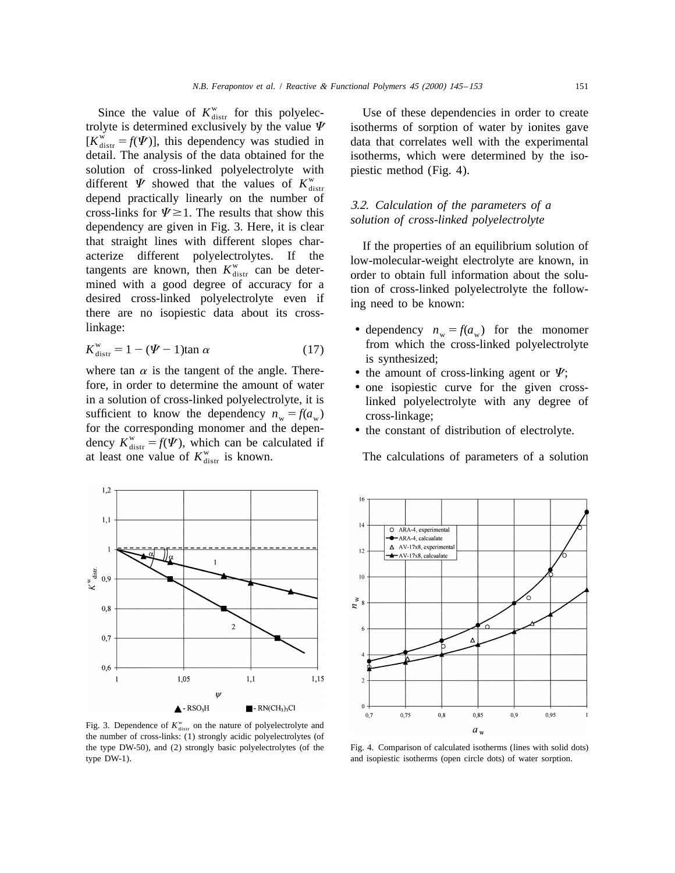Since the value of  $K_{\text{distr}}^{\text{w}}$  for this polyelec-<br>blyee is determined exclusively by the value  $\Psi$  isotherms of sorption of water by ionites gave trolyte is determined exclusively by the value  $\Psi$  isotherms of sorption of water by ionites gave  $[K^w_{dist} = f(\Psi)]$ , this dependency was studied in data that correlates well with the experimental detail. The analysis of the solution of cross-linked polyelectrolyte with piestic method (Fig. 4). different  $\Psi$  showed that the values of  $K_{\text{distr}}^{\text{w}}$ depend practically linearly on the number of<br>cross-links for  $\Psi \ge 1$ . The results that show this<br>dependency are given in Fig. 3. Here, it is clear<br>dependency are given in Fig. 3. Here, it is clear that straight lines with different slopes char-<br>acterize different polyelectrolytes. If the properties of an equilibrium solution of<br>acterize different polyelectrolytes. If the low-molecular-weight electrolyte are known, mined with a good degree of accuracy for a tion of cross-linked polyelectrolyte the follow-<br>desired cross-linked polyelectrolyte even if there are no isopiestic data about its cross-

$$
K_{\text{distr}}^{\text{w}} = 1 - (\Psi - 1)\tan \alpha \tag{17}
$$

where tan  $\alpha$  is the tangent of the angle. There-<br>fore, in order to determine the amount of water<br> $\bullet$  one isopiestic curve for the given cr in a solution of cross-linked polyelectrolyte, it is linked polyelectrolyte with any degree of sufficient to know the dependency  $n_w = f(a_w)$  cross-linkage;<br>for the corresponding monomer and the depen-<br> $\bullet$  the constant of for the corresponding monomer and the depen-<br>dency  $K_{\text{distr}}^w = f(\Psi)$ , which can be calculated if<br>at least one value of  $K_{\text{distr}}^w$  is known.<br>The calculations of parameters of a solution



Fig. 3. Dependence of  $K_{\text{distr}}^{\text{w}}$  on the nature of polyelectrolyte and the number of cross-links: (1) strongly acidic polyelectrolytes (of the type DW-50), and (2) strongly basic polyelectrolytes (of the Fig. 4. Comparison of calculated isotherms (lines with solid dots) type DW-1). and isopiestic isotherms (open circle dots) of water sorption.

isotherms, which were determined by the iso-

- linkage: dependency  $n_w = f(a_w)$  for the monomer  $W_{\text{distr}}^{\text{w}} = 1 - (\Psi - 1)\tan \alpha$  (17) from which the cross-linked polyelectrolyte is synthesized;
	-
	- one isopiestic curve for the given cross-
	-

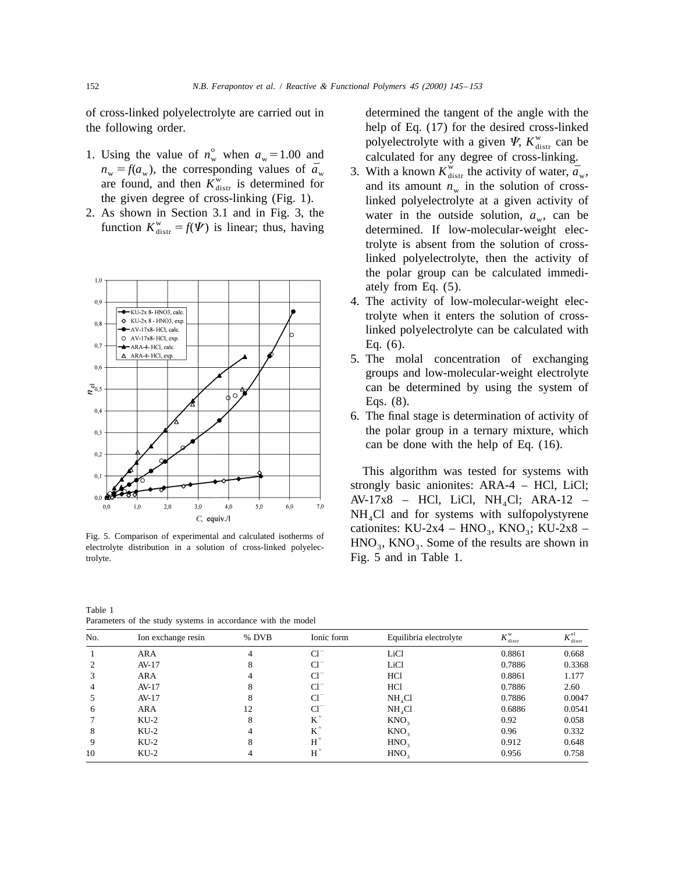of cross-linked polyelectrolyte are carried out in determined the tangent of the angle with the

- the following order.<br>
the following order.<br>
help of Eq. (17) for the desired cross-linked<br>
polyelectrolyte with a given  $\Psi$ ,  $K_{\text{distr}}^w$  can be<br>
1. Using the value of  $n_w^o$  when  $a_w = 1.00$  and<br>  $n_w = f(a_w)$ , the correspon
- 



trolyte. Fig. 5 and in Table 1.

- the given degree of cross-linking (Fig. 1). linked polyelectrolyte at a given activity of 2. As shown in Section 3.1 and in Fig. 3, the varier in the outside solution.  $a_{\perp}$  can be As shown in Section 3.1 and in Fig. 3, the water in the outside solution,  $a_w$ , can be function  $K_{\text{distr}}^w = f(\Psi)$  is linear; thus, having determined. If low-molecular-weight electrolyte is absent from the solution of crosslinked polyelectrolyte, then the activity of the polar group can be calculated immediately from Eq. (5).
	- 4. The activity of low-molecular-weight electrolyte when it enters the solution of crosslinked polyelectrolyte can be calculated with Eq. (6).
	- 5. The molal concentration of exchanging groups and low-molecular-weight electrolyte can be determined by using the system of Eqs. (8).
	- 6. The final stage is determination of activity of the polar group in a ternary mixture, which can be done with the help of Eq. (16).

This algorithm was tested for systems with strongly basic anionites: ARA-4 – HCl, LiCl;  $AV-17x8 - HCl$ , LiCl, NH<sub>4</sub>Cl; ARA-12 –  $NH<sub>4</sub>Cl$  and for systems with sulfopolystyrene  $C_2$  equiv./l<br>Fig. 5. Comparison of experimental and calculated isotherms of  $\frac{1}{2}$  and  $\frac{1}{2}$  and  $\frac{1}{2}$  and  $\frac{1}{2}$  and  $\frac{1}{2}$  and  $\frac{1}{2}$  and  $\frac{1}{2}$  and  $\frac{1}{2}$  and  $\frac{1}{2}$  and  $\frac{1}{2}$  and  $\frac$ electrolyte distribution in a solution of cross-linked polyelec-  $HNO_3$ ,  $KNO_3$ . Some of the results are shown in

Table 1 Parameters of the study systems in accordance with the model

| No. | Ion exchange resin | % DVB | Ionic form      | Equilibria electrolyte | $K_{\rm distr}^{\rm w}$ | $K_{\rm distr}^{\rm el}$ |
|-----|--------------------|-------|-----------------|------------------------|-------------------------|--------------------------|
|     | ARA                | 4     | Cl <sup>2</sup> | LiCl                   | 0.8861                  | 0.668                    |
| 2   | $AV-17$            | 8     | Cl              | LiCl                   | 0.7886                  | 0.3368                   |
| 3   | <b>ARA</b>         | 4     | Cl              | HC1                    | 0.8861                  | 1.177                    |
| 4   | $AV-17$            | 8     | Cl <sup>2</sup> | HC <sub>1</sub>        | 0.7886                  | 2.60                     |
|     | $AV-17$            | 8     | Cl              | NH <sub>4</sub> Cl     | 0.7886                  | 0.0047                   |
| 6   | ARA                | 12    | Cl <sub>1</sub> | NH <sub>4</sub> Cl     | 0.6886                  | 0.0541                   |
|     | $KU-2$             | 8     | $K^+$           | KNO <sub>2</sub>       | 0.92                    | 0.058                    |
| 8   | $KU-2$             | 4     | $K^+$           | KNO <sub>3</sub>       | 0.96                    | 0.332                    |
| 9   | $KU-2$             | 8     | $H^+$           | HNO <sub>3</sub>       | 0.912                   | 0.648                    |
| 10  | $KU-2$             |       | $H^+$           | HNO,                   | 0.956                   | 0.758                    |
|     |                    |       |                 |                        |                         |                          |